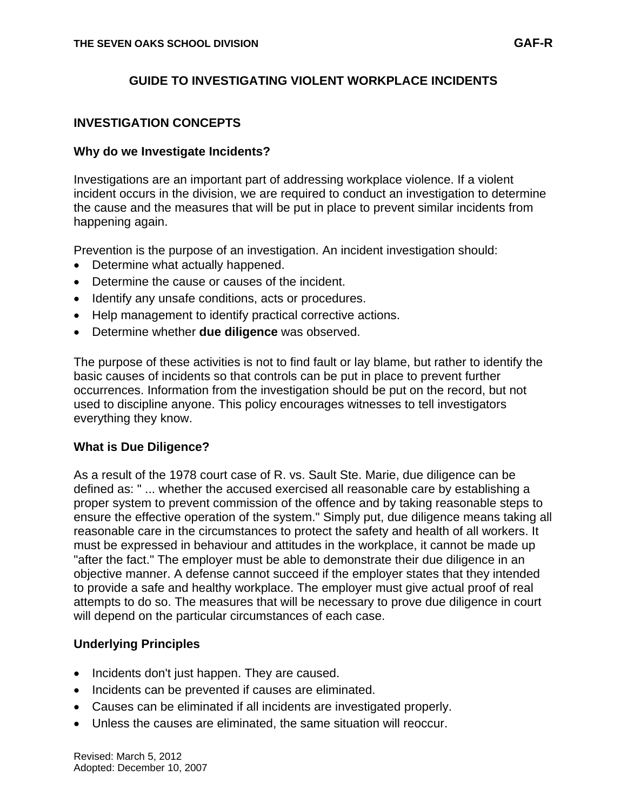## **GUIDE TO INVESTIGATING VIOLENT WORKPLACE INCIDENTS**

### **INVESTIGATION CONCEPTS**

#### **Why do we Investigate Incidents?**

Investigations are an important part of addressing workplace violence. If a violent incident occurs in the division, we are required to conduct an investigation to determine the cause and the measures that will be put in place to prevent similar incidents from happening again.

Prevention is the purpose of an investigation. An incident investigation should:

- Determine what actually happened.
- Determine the cause or causes of the incident.
- Identify any unsafe conditions, acts or procedures.
- Help management to identify practical corrective actions.
- Determine whether **due diligence** was observed.

The purpose of these activities is not to find fault or lay blame, but rather to identify the basic causes of incidents so that controls can be put in place to prevent further occurrences. Information from the investigation should be put on the record, but not used to discipline anyone. This policy encourages witnesses to tell investigators everything they know.

### **What is Due Diligence?**

As a result of the 1978 court case of R. vs. Sault Ste. Marie, due diligence can be defined as: " ... whether the accused exercised all reasonable care by establishing a proper system to prevent commission of the offence and by taking reasonable steps to ensure the effective operation of the system." Simply put, due diligence means taking all reasonable care in the circumstances to protect the safety and health of all workers. It must be expressed in behaviour and attitudes in the workplace, it cannot be made up "after the fact." The employer must be able to demonstrate their due diligence in an objective manner. A defense cannot succeed if the employer states that they intended to provide a safe and healthy workplace. The employer must give actual proof of real attempts to do so. The measures that will be necessary to prove due diligence in court will depend on the particular circumstances of each case.

### **Underlying Principles**

- Incidents don't just happen. They are caused.
- Incidents can be prevented if causes are eliminated.
- Causes can be eliminated if all incidents are investigated properly.
- Unless the causes are eliminated, the same situation will reoccur.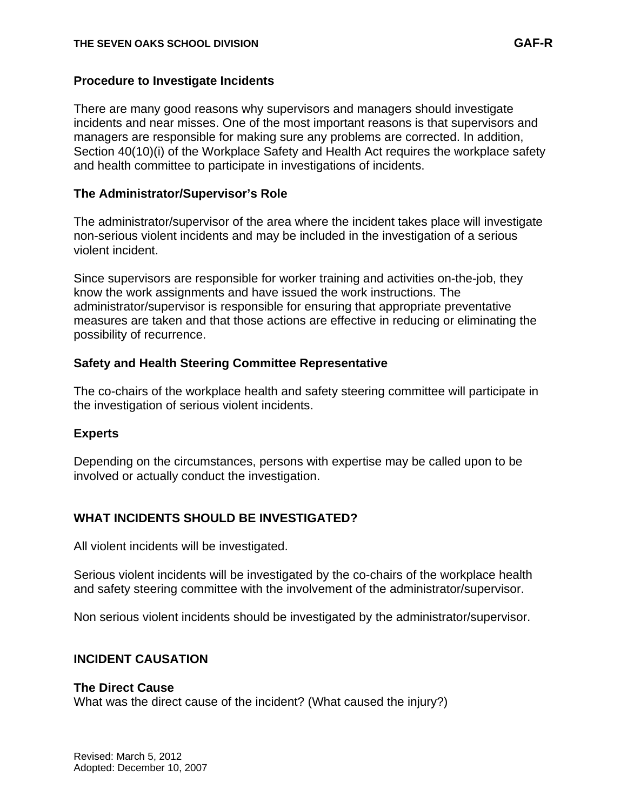### **Procedure to Investigate Incidents**

There are many good reasons why supervisors and managers should investigate incidents and near misses. One of the most important reasons is that supervisors and managers are responsible for making sure any problems are corrected. In addition, Section 40(10)(i) of the Workplace Safety and Health Act requires the workplace safety and health committee to participate in investigations of incidents.

### **The Administrator/Supervisor's Role**

The administrator/supervisor of the area where the incident takes place will investigate non-serious violent incidents and may be included in the investigation of a serious violent incident.

Since supervisors are responsible for worker training and activities on-the-job, they know the work assignments and have issued the work instructions. The administrator/supervisor is responsible for ensuring that appropriate preventative measures are taken and that those actions are effective in reducing or eliminating the possibility of recurrence.

### **Safety and Health Steering Committee Representative**

The co-chairs of the workplace health and safety steering committee will participate in the investigation of serious violent incidents.

### **Experts**

Depending on the circumstances, persons with expertise may be called upon to be involved or actually conduct the investigation.

### **WHAT INCIDENTS SHOULD BE INVESTIGATED?**

All violent incidents will be investigated.

Serious violent incidents will be investigated by the co-chairs of the workplace health and safety steering committee with the involvement of the administrator/supervisor.

Non serious violent incidents should be investigated by the administrator/supervisor.

### **INCIDENT CAUSATION**

### **The Direct Cause**

What was the direct cause of the incident? (What caused the injury?)

Revised: March 5, 2012 Adopted: December 10, 2007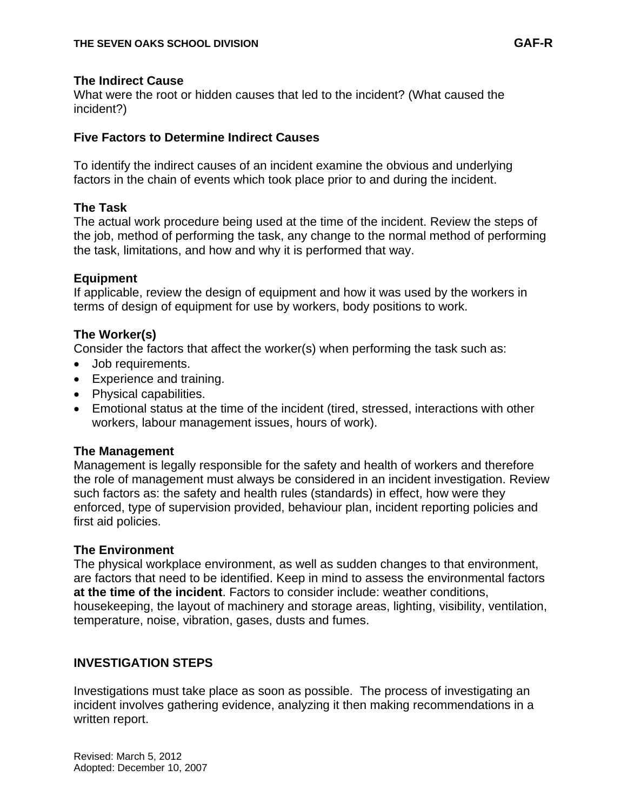### **The Indirect Cause**

What were the root or hidden causes that led to the incident? (What caused the incident?)

### **Five Factors to Determine Indirect Causes**

To identify the indirect causes of an incident examine the obvious and underlying factors in the chain of events which took place prior to and during the incident.

### **The Task**

The actual work procedure being used at the time of the incident. Review the steps of the job, method of performing the task, any change to the normal method of performing the task, limitations, and how and why it is performed that way.

### **Equipment**

If applicable, review the design of equipment and how it was used by the workers in terms of design of equipment for use by workers, body positions to work.

### **The Worker(s)**

Consider the factors that affect the worker(s) when performing the task such as:

- Job requirements.
- Experience and training.
- Physical capabilities.
- Emotional status at the time of the incident (tired, stressed, interactions with other workers, labour management issues, hours of work).

### **The Management**

Management is legally responsible for the safety and health of workers and therefore the role of management must always be considered in an incident investigation. Review such factors as: the safety and health rules (standards) in effect, how were they enforced, type of supervision provided, behaviour plan, incident reporting policies and first aid policies.

#### **The Environment**

The physical workplace environment, as well as sudden changes to that environment, are factors that need to be identified. Keep in mind to assess the environmental factors **at the time of the incident**. Factors to consider include: weather conditions, housekeeping, the layout of machinery and storage areas, lighting, visibility, ventilation, temperature, noise, vibration, gases, dusts and fumes.

### **INVESTIGATION STEPS**

Investigations must take place as soon as possible. The process of investigating an incident involves gathering evidence, analyzing it then making recommendations in a written report.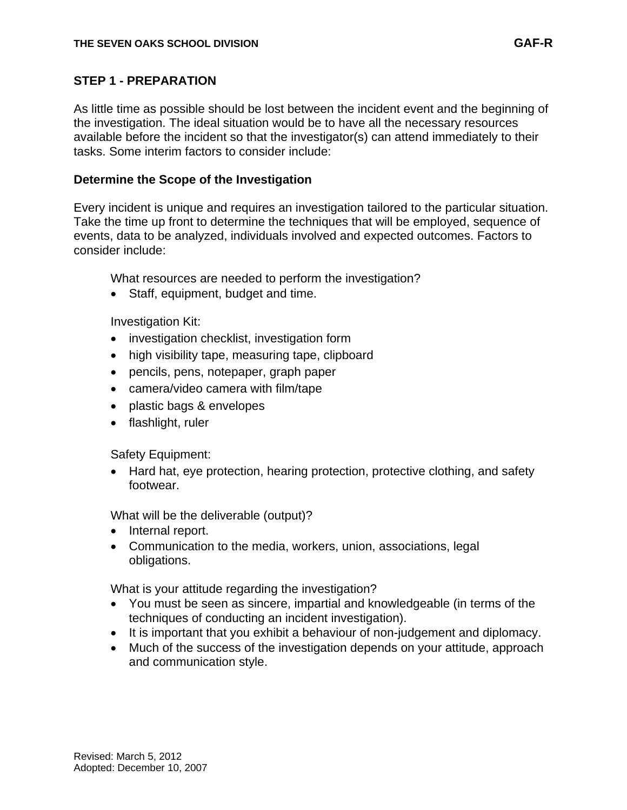## **STEP 1 - PREPARATION**

As little time as possible should be lost between the incident event and the beginning of the investigation. The ideal situation would be to have all the necessary resources available before the incident so that the investigator(s) can attend immediately to their tasks. Some interim factors to consider include:

### **Determine the Scope of the Investigation**

Every incident is unique and requires an investigation tailored to the particular situation. Take the time up front to determine the techniques that will be employed, sequence of events, data to be analyzed, individuals involved and expected outcomes. Factors to consider include:

What resources are needed to perform the investigation?

• Staff, equipment, budget and time.

Investigation Kit:

- investigation checklist, investigation form
- high visibility tape, measuring tape, clipboard
- pencils, pens, notepaper, graph paper
- camera/video camera with film/tape
- plastic bags & envelopes
- flashlight, ruler

Safety Equipment:

• Hard hat, eye protection, hearing protection, protective clothing, and safety footwear.

What will be the deliverable (output)?

- Internal report.
- Communication to the media, workers, union, associations, legal obligations.

What is your attitude regarding the investigation?

- You must be seen as sincere, impartial and knowledgeable (in terms of the techniques of conducting an incident investigation).
- It is important that you exhibit a behaviour of non-judgement and diplomacy.
- Much of the success of the investigation depends on your attitude, approach and communication style.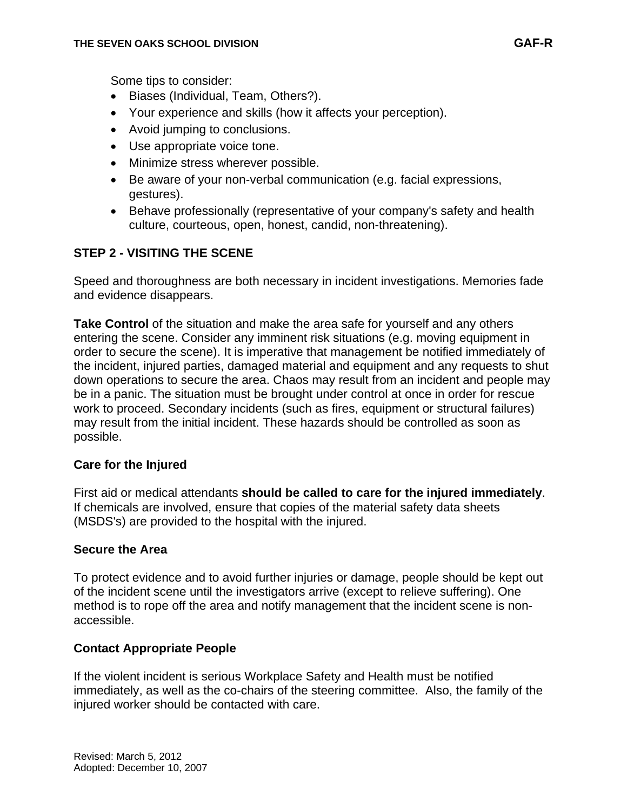- Biases (Individual, Team, Others?).
- Your experience and skills (how it affects your perception).
- Avoid jumping to conclusions.
- Use appropriate voice tone.
- Minimize stress wherever possible.
- Be aware of your non-verbal communication (e.g. facial expressions, gestures).
- Behave professionally (representative of your company's safety and health culture, courteous, open, honest, candid, non-threatening).

# **STEP 2 - VISITING THE SCENE**

Speed and thoroughness are both necessary in incident investigations. Memories fade and evidence disappears.

**Take Control** of the situation and make the area safe for yourself and any others entering the scene. Consider any imminent risk situations (e.g. moving equipment in order to secure the scene). It is imperative that management be notified immediately of the incident, injured parties, damaged material and equipment and any requests to shut down operations to secure the area. Chaos may result from an incident and people may be in a panic. The situation must be brought under control at once in order for rescue work to proceed. Secondary incidents (such as fires, equipment or structural failures) may result from the initial incident. These hazards should be controlled as soon as possible.

# **Care for the Injured**

First aid or medical attendants **should be called to care for the injured immediately**. If chemicals are involved, ensure that copies of the material safety data sheets (MSDS's) are provided to the hospital with the injured.

### **Secure the Area**

To protect evidence and to avoid further injuries or damage, people should be kept out of the incident scene until the investigators arrive (except to relieve suffering). One method is to rope off the area and notify management that the incident scene is nonaccessible.

# **Contact Appropriate People**

If the violent incident is serious Workplace Safety and Health must be notified immediately, as well as the co-chairs of the steering committee. Also, the family of the injured worker should be contacted with care.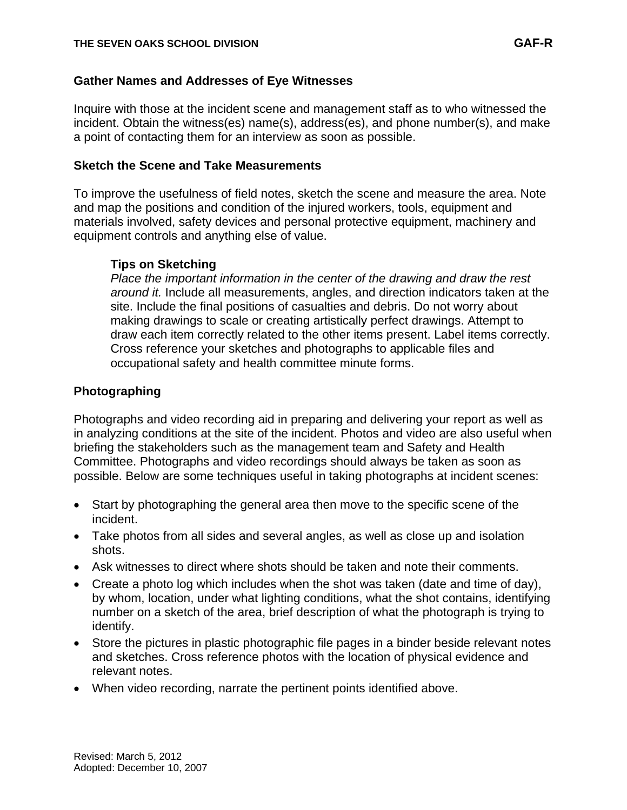### **Gather Names and Addresses of Eye Witnesses**

Inquire with those at the incident scene and management staff as to who witnessed the incident. Obtain the witness(es) name(s), address(es), and phone number(s), and make a point of contacting them for an interview as soon as possible.

### **Sketch the Scene and Take Measurements**

To improve the usefulness of field notes, sketch the scene and measure the area. Note and map the positions and condition of the injured workers, tools, equipment and materials involved, safety devices and personal protective equipment, machinery and equipment controls and anything else of value.

### **Tips on Sketching**

*Place the important information in the center of the drawing and draw the rest around it.* Include all measurements, angles, and direction indicators taken at the site. Include the final positions of casualties and debris. Do not worry about making drawings to scale or creating artistically perfect drawings. Attempt to draw each item correctly related to the other items present. Label items correctly. Cross reference your sketches and photographs to applicable files and occupational safety and health committee minute forms.

## **Photographing**

Photographs and video recording aid in preparing and delivering your report as well as in analyzing conditions at the site of the incident. Photos and video are also useful when briefing the stakeholders such as the management team and Safety and Health Committee. Photographs and video recordings should always be taken as soon as possible. Below are some techniques useful in taking photographs at incident scenes:

- Start by photographing the general area then move to the specific scene of the incident.
- Take photos from all sides and several angles, as well as close up and isolation shots.
- Ask witnesses to direct where shots should be taken and note their comments.
- Create a photo log which includes when the shot was taken (date and time of day), by whom, location, under what lighting conditions, what the shot contains, identifying number on a sketch of the area, brief description of what the photograph is trying to identify.
- Store the pictures in plastic photographic file pages in a binder beside relevant notes and sketches. Cross reference photos with the location of physical evidence and relevant notes.
- When video recording, narrate the pertinent points identified above.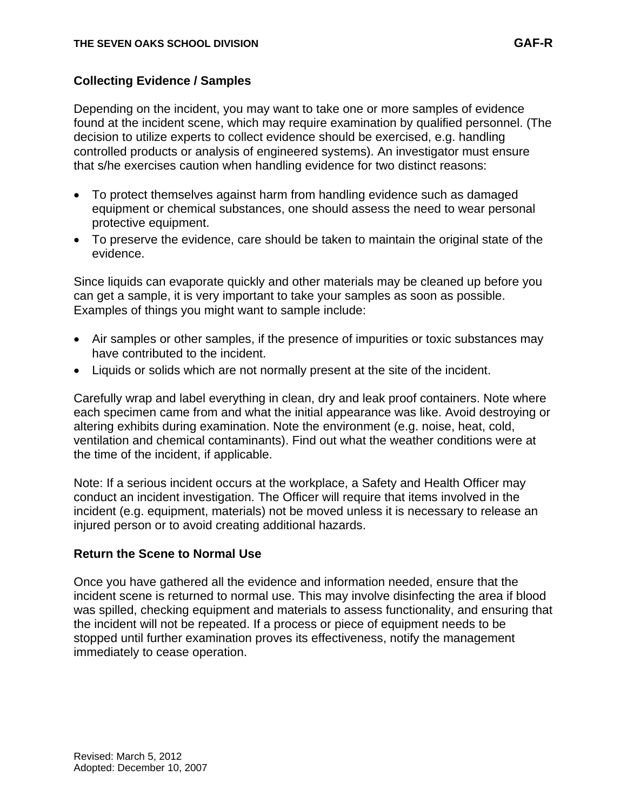## **Collecting Evidence / Samples**

Depending on the incident, you may want to take one or more samples of evidence found at the incident scene, which may require examination by qualified personnel. (The decision to utilize experts to collect evidence should be exercised, e.g. handling controlled products or analysis of engineered systems). An investigator must ensure that s/he exercises caution when handling evidence for two distinct reasons:

- To protect themselves against harm from handling evidence such as damaged equipment or chemical substances, one should assess the need to wear personal protective equipment.
- To preserve the evidence, care should be taken to maintain the original state of the evidence.

Since liquids can evaporate quickly and other materials may be cleaned up before you can get a sample, it is very important to take your samples as soon as possible. Examples of things you might want to sample include:

- Air samples or other samples, if the presence of impurities or toxic substances may have contributed to the incident.
- Liquids or solids which are not normally present at the site of the incident.

Carefully wrap and label everything in clean, dry and leak proof containers. Note where each specimen came from and what the initial appearance was like. Avoid destroying or altering exhibits during examination. Note the environment (e.g. noise, heat, cold, ventilation and chemical contaminants). Find out what the weather conditions were at the time of the incident, if applicable.

Note: If a serious incident occurs at the workplace, a Safety and Health Officer may conduct an incident investigation. The Officer will require that items involved in the incident (e.g. equipment, materials) not be moved unless it is necessary to release an injured person or to avoid creating additional hazards.

### **Return the Scene to Normal Use**

Once you have gathered all the evidence and information needed, ensure that the incident scene is returned to normal use. This may involve disinfecting the area if blood was spilled, checking equipment and materials to assess functionality, and ensuring that the incident will not be repeated. If a process or piece of equipment needs to be stopped until further examination proves its effectiveness, notify the management immediately to cease operation.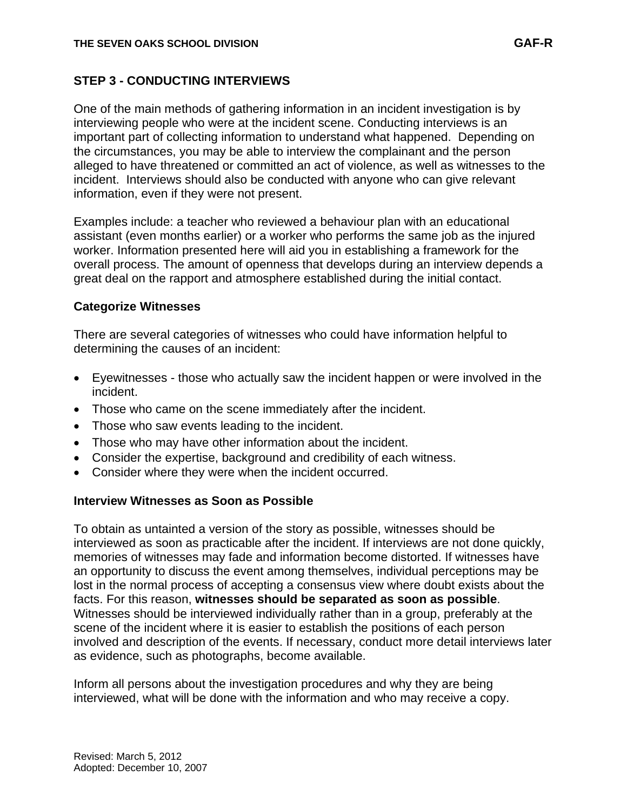## **STEP 3 - CONDUCTING INTERVIEWS**

One of the main methods of gathering information in an incident investigation is by interviewing people who were at the incident scene. Conducting interviews is an important part of collecting information to understand what happened. Depending on the circumstances, you may be able to interview the complainant and the person alleged to have threatened or committed an act of violence, as well as witnesses to the incident. Interviews should also be conducted with anyone who can give relevant information, even if they were not present.

Examples include: a teacher who reviewed a behaviour plan with an educational assistant (even months earlier) or a worker who performs the same job as the injured worker. Information presented here will aid you in establishing a framework for the overall process. The amount of openness that develops during an interview depends a great deal on the rapport and atmosphere established during the initial contact.

### **Categorize Witnesses**

There are several categories of witnesses who could have information helpful to determining the causes of an incident:

- Eyewitnesses those who actually saw the incident happen or were involved in the incident.
- Those who came on the scene immediately after the incident.
- Those who saw events leading to the incident.
- Those who may have other information about the incident.
- Consider the expertise, background and credibility of each witness.
- Consider where they were when the incident occurred.

### **Interview Witnesses as Soon as Possible**

To obtain as untainted a version of the story as possible, witnesses should be interviewed as soon as practicable after the incident. If interviews are not done quickly, memories of witnesses may fade and information become distorted. If witnesses have an opportunity to discuss the event among themselves, individual perceptions may be lost in the normal process of accepting a consensus view where doubt exists about the facts. For this reason, **witnesses should be separated as soon as possible**. Witnesses should be interviewed individually rather than in a group, preferably at the scene of the incident where it is easier to establish the positions of each person involved and description of the events. If necessary, conduct more detail interviews later as evidence, such as photographs, become available.

Inform all persons about the investigation procedures and why they are being interviewed, what will be done with the information and who may receive a copy.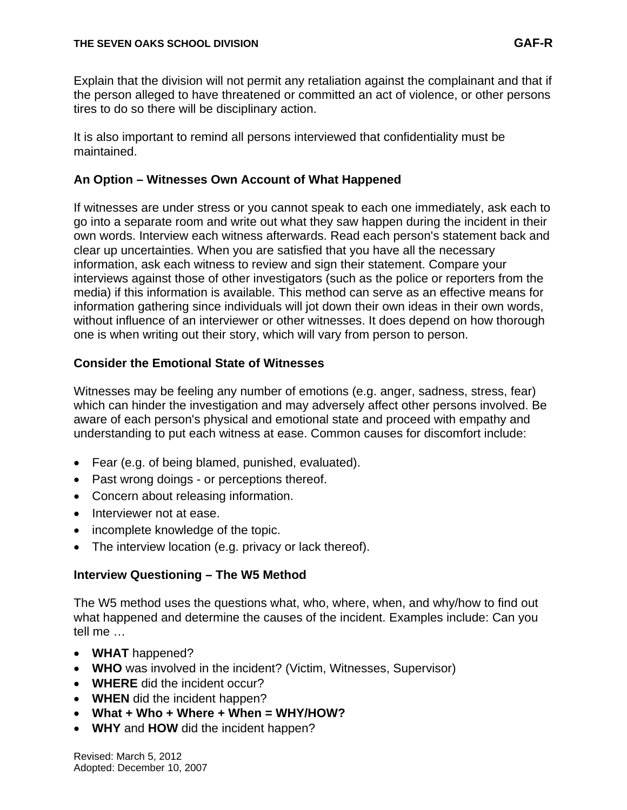Explain that the division will not permit any retaliation against the complainant and that if the person alleged to have threatened or committed an act of violence, or other persons tires to do so there will be disciplinary action.

It is also important to remind all persons interviewed that confidentiality must be maintained.

## **An Option – Witnesses Own Account of What Happened**

If witnesses are under stress or you cannot speak to each one immediately, ask each to go into a separate room and write out what they saw happen during the incident in their own words. Interview each witness afterwards. Read each person's statement back and clear up uncertainties. When you are satisfied that you have all the necessary information, ask each witness to review and sign their statement. Compare your interviews against those of other investigators (such as the police or reporters from the media) if this information is available. This method can serve as an effective means for information gathering since individuals will jot down their own ideas in their own words, without influence of an interviewer or other witnesses. It does depend on how thorough one is when writing out their story, which will vary from person to person.

## **Consider the Emotional State of Witnesses**

Witnesses may be feeling any number of emotions (e.g. anger, sadness, stress, fear) which can hinder the investigation and may adversely affect other persons involved. Be aware of each person's physical and emotional state and proceed with empathy and understanding to put each witness at ease. Common causes for discomfort include:

- Fear (e.g. of being blamed, punished, evaluated).
- Past wrong doings or perceptions thereof.
- Concern about releasing information.
- Interviewer not at ease.
- incomplete knowledge of the topic.
- The interview location (e.g. privacy or lack thereof).

### **Interview Questioning – The W5 Method**

The W5 method uses the questions what, who, where, when, and why/how to find out what happened and determine the causes of the incident. Examples include: Can you tell me …

- **WHAT** happened?
- **WHO** was involved in the incident? (Victim, Witnesses, Supervisor)
- **WHERE** did the incident occur?
- **WHEN** did the incident happen?
- **What + Who + Where + When = WHY/HOW?**
- **WHY** and **HOW** did the incident happen?

Revised: March 5, 2012 Adopted: December 10, 2007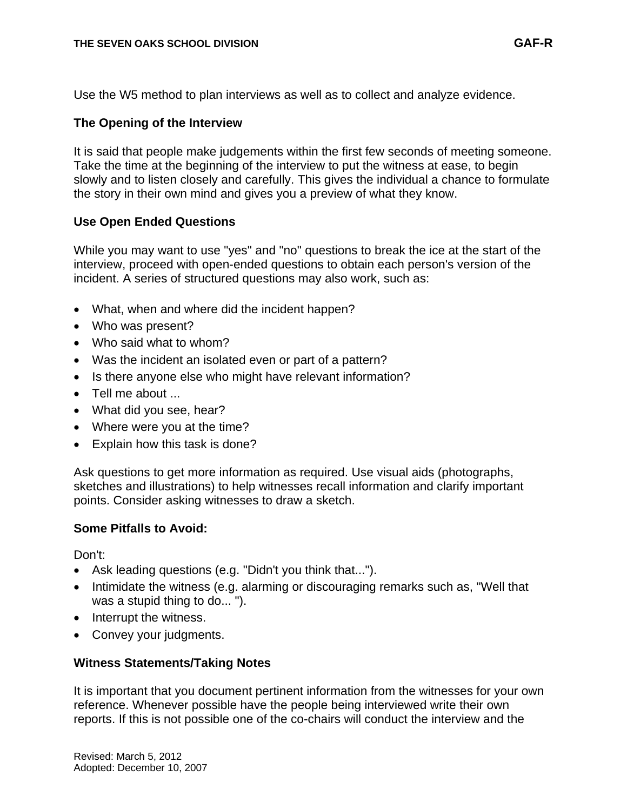Use the W5 method to plan interviews as well as to collect and analyze evidence.

#### **The Opening of the Interview**

It is said that people make judgements within the first few seconds of meeting someone. Take the time at the beginning of the interview to put the witness at ease, to begin slowly and to listen closely and carefully. This gives the individual a chance to formulate the story in their own mind and gives you a preview of what they know.

### **Use Open Ended Questions**

While you may want to use "yes" and "no" questions to break the ice at the start of the interview, proceed with open-ended questions to obtain each person's version of the incident. A series of structured questions may also work, such as:

- What, when and where did the incident happen?
- Who was present?
- Who said what to whom?
- Was the incident an isolated even or part of a pattern?
- Is there anyone else who might have relevant information?
- Tell me about ...
- What did you see, hear?
- Where were you at the time?
- Explain how this task is done?

Ask questions to get more information as required. Use visual aids (photographs, sketches and illustrations) to help witnesses recall information and clarify important points. Consider asking witnesses to draw a sketch.

### **Some Pitfalls to Avoid:**

Don't:

- Ask leading questions (e.g. "Didn't you think that...").
- Intimidate the witness (e.g. alarming or discouraging remarks such as, "Well that was a stupid thing to do... ").
- Interrupt the witness.
- Convey your judgments.

### **Witness Statements/Taking Notes**

It is important that you document pertinent information from the witnesses for your own reference. Whenever possible have the people being interviewed write their own reports. If this is not possible one of the co-chairs will conduct the interview and the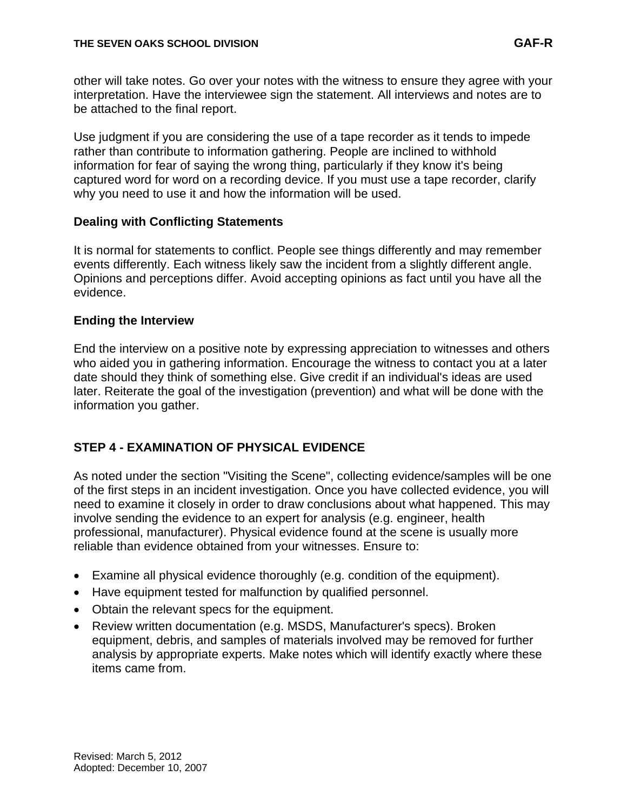other will take notes. Go over your notes with the witness to ensure they agree with your interpretation. Have the interviewee sign the statement. All interviews and notes are to be attached to the final report.

Use judgment if you are considering the use of a tape recorder as it tends to impede rather than contribute to information gathering. People are inclined to withhold information for fear of saying the wrong thing, particularly if they know it's being captured word for word on a recording device. If you must use a tape recorder, clarify why you need to use it and how the information will be used.

### **Dealing with Conflicting Statements**

It is normal for statements to conflict. People see things differently and may remember events differently. Each witness likely saw the incident from a slightly different angle. Opinions and perceptions differ. Avoid accepting opinions as fact until you have all the evidence.

## **Ending the Interview**

End the interview on a positive note by expressing appreciation to witnesses and others who aided you in gathering information. Encourage the witness to contact you at a later date should they think of something else. Give credit if an individual's ideas are used later. Reiterate the goal of the investigation (prevention) and what will be done with the information you gather.

# **STEP 4 - EXAMINATION OF PHYSICAL EVIDENCE**

As noted under the section "Visiting the Scene", collecting evidence/samples will be one of the first steps in an incident investigation. Once you have collected evidence, you will need to examine it closely in order to draw conclusions about what happened. This may involve sending the evidence to an expert for analysis (e.g. engineer, health professional, manufacturer). Physical evidence found at the scene is usually more reliable than evidence obtained from your witnesses. Ensure to:

- Examine all physical evidence thoroughly (e.g. condition of the equipment).
- Have equipment tested for malfunction by qualified personnel.
- Obtain the relevant specs for the equipment.
- Review written documentation (e.g. MSDS, Manufacturer's specs). Broken equipment, debris, and samples of materials involved may be removed for further analysis by appropriate experts. Make notes which will identify exactly where these items came from.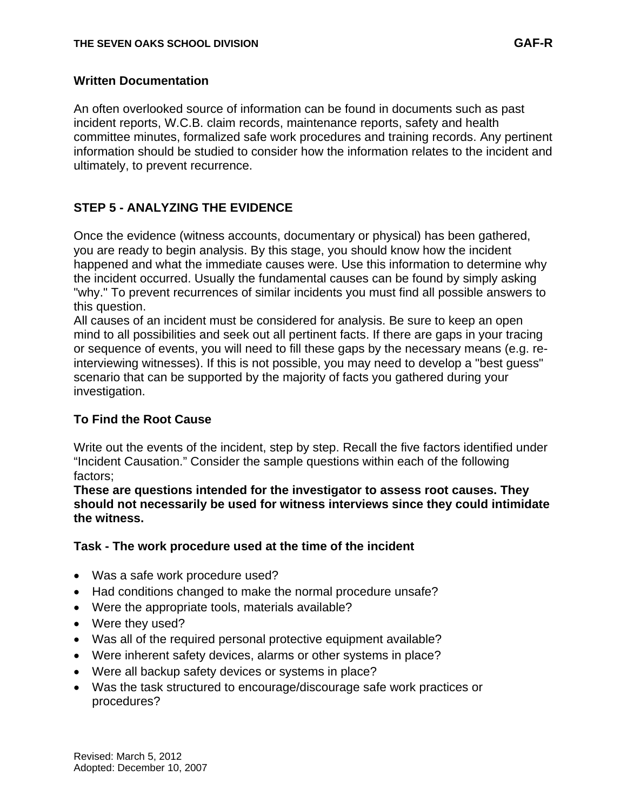### **Written Documentation**

An often overlooked source of information can be found in documents such as past incident reports, W.C.B. claim records, maintenance reports, safety and health committee minutes, formalized safe work procedures and training records. Any pertinent information should be studied to consider how the information relates to the incident and ultimately, to prevent recurrence.

# **STEP 5 - ANALYZING THE EVIDENCE**

Once the evidence (witness accounts, documentary or physical) has been gathered, you are ready to begin analysis. By this stage, you should know how the incident happened and what the immediate causes were. Use this information to determine why the incident occurred. Usually the fundamental causes can be found by simply asking "why." To prevent recurrences of similar incidents you must find all possible answers to this question.

All causes of an incident must be considered for analysis. Be sure to keep an open mind to all possibilities and seek out all pertinent facts. If there are gaps in your tracing or sequence of events, you will need to fill these gaps by the necessary means (e.g. reinterviewing witnesses). If this is not possible, you may need to develop a "best guess" scenario that can be supported by the majority of facts you gathered during your investigation.

## **To Find the Root Cause**

Write out the events of the incident, step by step. Recall the five factors identified under "Incident Causation." Consider the sample questions within each of the following factors;

**These are questions intended for the investigator to assess root causes. They should not necessarily be used for witness interviews since they could intimidate the witness.** 

### **Task - The work procedure used at the time of the incident**

- Was a safe work procedure used?
- Had conditions changed to make the normal procedure unsafe?
- Were the appropriate tools, materials available?
- Were they used?
- Was all of the required personal protective equipment available?
- Were inherent safety devices, alarms or other systems in place?
- Were all backup safety devices or systems in place?
- Was the task structured to encourage/discourage safe work practices or procedures?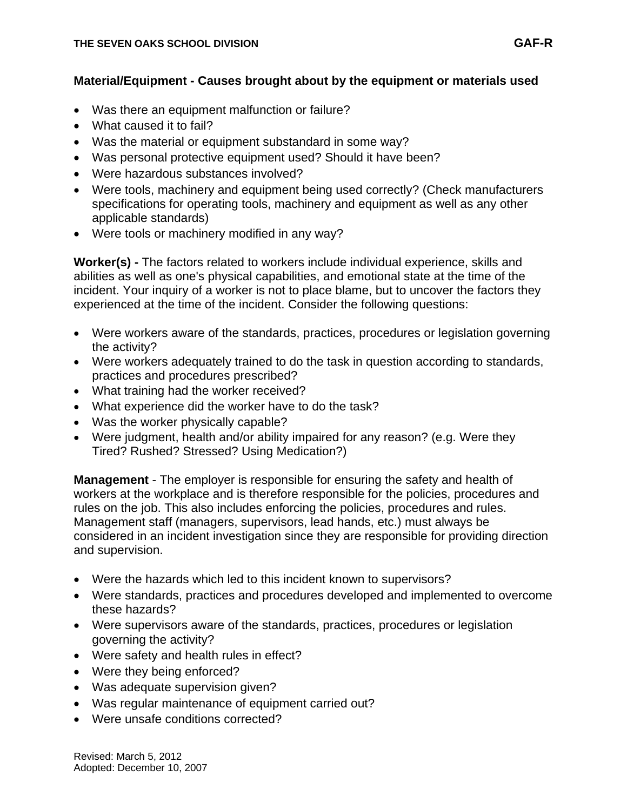- Was there an equipment malfunction or failure?
- What caused it to fail?
- Was the material or equipment substandard in some way?
- Was personal protective equipment used? Should it have been?
- Were hazardous substances involved?
- Were tools, machinery and equipment being used correctly? (Check manufacturers specifications for operating tools, machinery and equipment as well as any other applicable standards)
- Were tools or machinery modified in any way?

**Worker(s) -** The factors related to workers include individual experience, skills and abilities as well as one's physical capabilities, and emotional state at the time of the incident. Your inquiry of a worker is not to place blame, but to uncover the factors they experienced at the time of the incident. Consider the following questions:

- Were workers aware of the standards, practices, procedures or legislation governing the activity?
- Were workers adequately trained to do the task in question according to standards, practices and procedures prescribed?
- What training had the worker received?
- What experience did the worker have to do the task?
- Was the worker physically capable?
- Were judgment, health and/or ability impaired for any reason? (e.g. Were they Tired? Rushed? Stressed? Using Medication?)

**Management** - The employer is responsible for ensuring the safety and health of workers at the workplace and is therefore responsible for the policies, procedures and rules on the job. This also includes enforcing the policies, procedures and rules. Management staff (managers, supervisors, lead hands, etc.) must always be considered in an incident investigation since they are responsible for providing direction and supervision.

- Were the hazards which led to this incident known to supervisors?
- Were standards, practices and procedures developed and implemented to overcome these hazards?
- Were supervisors aware of the standards, practices, procedures or legislation governing the activity?
- Were safety and health rules in effect?
- Were they being enforced?
- Was adequate supervision given?
- Was regular maintenance of equipment carried out?
- Were unsafe conditions corrected?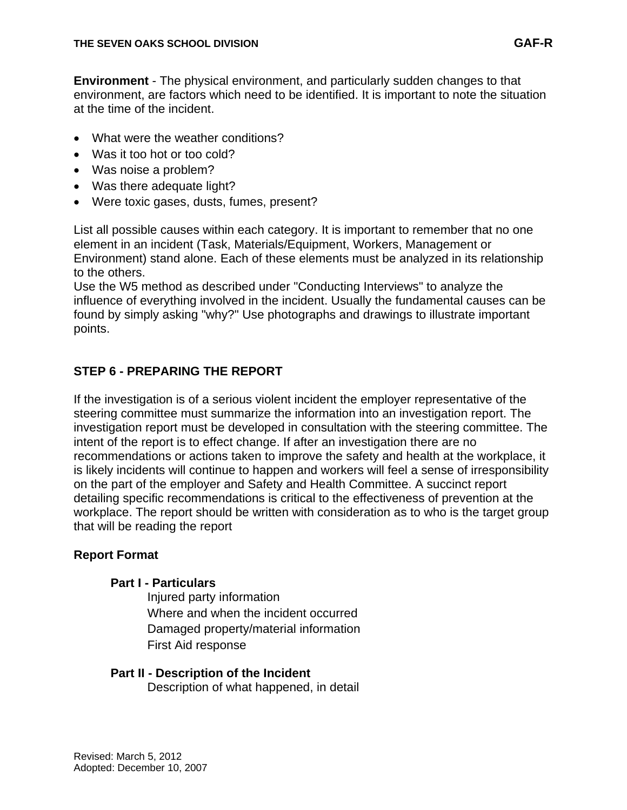**Environment** - The physical environment, and particularly sudden changes to that environment, are factors which need to be identified. It is important to note the situation at the time of the incident.

- What were the weather conditions?
- Was it too hot or too cold?
- Was noise a problem?
- Was there adequate light?
- Were toxic gases, dusts, fumes, present?

List all possible causes within each category. It is important to remember that no one element in an incident (Task, Materials/Equipment, Workers, Management or Environment) stand alone. Each of these elements must be analyzed in its relationship to the others.

Use the W5 method as described under "Conducting Interviews" to analyze the influence of everything involved in the incident. Usually the fundamental causes can be found by simply asking "why?" Use photographs and drawings to illustrate important points.

# **STEP 6 - PREPARING THE REPORT**

If the investigation is of a serious violent incident the employer representative of the steering committee must summarize the information into an investigation report. The investigation report must be developed in consultation with the steering committee. The intent of the report is to effect change. If after an investigation there are no recommendations or actions taken to improve the safety and health at the workplace, it is likely incidents will continue to happen and workers will feel a sense of irresponsibility on the part of the employer and Safety and Health Committee. A succinct report detailing specific recommendations is critical to the effectiveness of prevention at the workplace. The report should be written with consideration as to who is the target group that will be reading the report

### **Report Format**

#### **Part I - Particulars**

Injured party information Where and when the incident occurred Damaged property/material information First Aid response

# **Part II - Description of the Incident**

Description of what happened, in detail